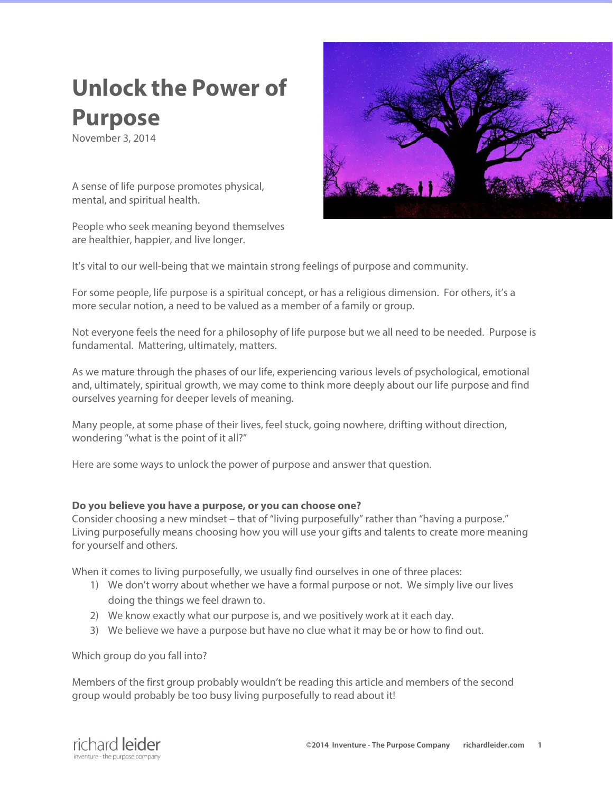# **Unlock the Power of Purpose**

November 3, 2014

A sense of life purpose promotes physical, mental, and spiritual health.

People who seek meaning beyond themselves are healthier, happier, and live longer.



It's vital to our well-being that we maintain strong feelings of purpose and community.

For some people, life purpose is a spiritual concept, or has a religious dimension. For others, it's a more secular notion, a need to be valued as a member of a family or group.

Not everyone feels the need for a philosophy of life purpose but we all need to be needed. Purpose is fundamental. Mattering, ultimately, matters.

As we mature through the phases of our life, experiencing various levels of psychological, emotional and, ultimately, spiritual growth, we may come to think more deeply about our life purpose and find ourselves yearning for deeper levels of meaning.

Many people, at some phase of their lives, feel stuck, going nowhere, drifting without direction, wondering "what is the point of it all?"

Here are some ways to unlock the power of purpose and answer that question.

## **Do you believe you have a purpose, or you can choose one?**

Consider choosing a new mindset – that of "living purposefully" rather than "having a purpose." Living purposefully means choosing how you will use your gifts and talents to create more meaning for yourself and others.

When it comes to living purposefully, we usually find ourselves in one of three places:

- 1) We don't worry about whether we have a formal purpose or not. We simply live our lives doing the things we feel drawn to.
- 2) We know exactly what our purpose is, and we positively work at it each day.
- 3) We believe we have a purpose but have no clue what it may be or how to find out.

Which group do you fall into?

Members of the first group probably wouldn't be reading this article and members of the second group would probably be too busy living purposefully to read about it!

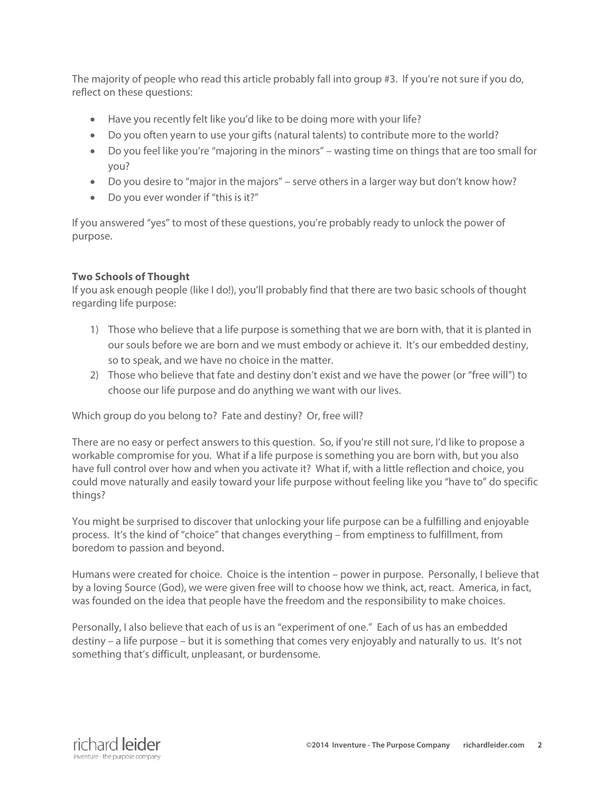The majority of people who read this article probably fall into group #3. If you're not sure if you do, reflect on these questions:

- Have you recently felt like you'd like to be doing more with your life?
- Do you often yearn to use your gifts (natural talents) to contribute more to the world?
- Do you feel like you're "majoring in the minors" wasting time on things that are too small for you?
- Do you desire to "major in the majors" serve others in a larger way but don't know how?
- Do you ever wonder if "this is it?"

If you answered "yes" to most of these questions, you're probably ready to unlock the power of purpose.

# **Two Schools of Thought**

If you ask enough people (like I do!), you'll probably find that there are two basic schools of thought regarding life purpose:

- 1) Those who believe that a life purpose is something that we are born with, that it is planted in our souls before we are born and we must embody or achieve it. It's our embedded destiny, so to speak, and we have no choice in the matter.
- 2) Those who believe that fate and destiny don't exist and we have the power (or "free will") to choose our life purpose and do anything we want with our lives.

Which group do you belong to? Fate and destiny? Or, free will?

There are no easy or perfect answers to this question. So, if you're still not sure, I'd like to propose a workable compromise for you. What if a life purpose is something you are born with, but you also have full control over how and when you activate it? What if, with a little reflection and choice, you could move naturally and easily toward your life purpose without feeling like you "have to" do specific things?

You might be surprised to discover that unlocking your life purpose can be a fulfilling and enjoyable process. It's the kind of "choice" that changes everything – from emptiness to fulfillment, from boredom to passion and beyond.

Humans were created for choice. Choice is the intention – power in purpose. Personally, I believe that by a loving Source (God), we were given free will to choose how we think, act, react. America, in fact, was founded on the idea that people have the freedom and the responsibility to make choices.

Personally, I also believe that each of us is an "experiment of one." Each of us has an embedded destiny – a life purpose – but it is something that comes very enjoyably and naturally to us. It's not something that's difficult, unpleasant, or burdensome.

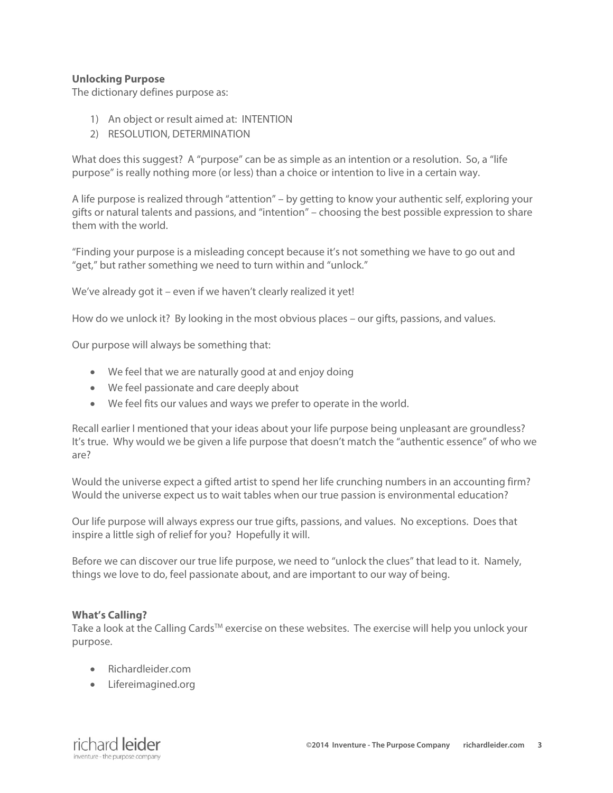## **Unlocking Purpose**

The dictionary defines purpose as:

- 1) An object or result aimed at: INTENTION
- 2) RESOLUTION, DETERMINATION

What does this suggest? A "purpose" can be as simple as an intention or a resolution. So, a "life purpose" is really nothing more (or less) than a choice or intention to live in a certain way.

A life purpose is realized through "attention" – by getting to know your authentic self, exploring your gifts or natural talents and passions, and "intention" – choosing the best possible expression to share them with the world.

"Finding your purpose is a misleading concept because it's not something we have to go out and "get," but rather something we need to turn within and "unlock."

We've already got it – even if we haven't clearly realized it yet!

How do we unlock it? By looking in the most obvious places – our gifts, passions, and values.

Our purpose will always be something that:

- We feel that we are naturally good at and enjoy doing
- We feel passionate and care deeply about
- We feel fits our values and ways we prefer to operate in the world.

Recall earlier I mentioned that your ideas about your life purpose being unpleasant are groundless? It's true. Why would we be given a life purpose that doesn't match the "authentic essence" of who we are?

Would the universe expect a gifted artist to spend her life crunching numbers in an accounting firm? Would the universe expect us to wait tables when our true passion is environmental education?

Our life purpose will always express our true gifts, passions, and values. No exceptions. Does that inspire a little sigh of relief for you? Hopefully it will.

Before we can discover our true life purpose, we need to "unlock the clues" that lead to it. Namely, things we love to do, feel passionate about, and are important to our way of being.

## **What's Calling?**

Take a look at the Calling Cards<sup>™</sup> exercise on these websites. The exercise will help you unlock your purpose.

- Richardleider.com
- Lifereimagined.org

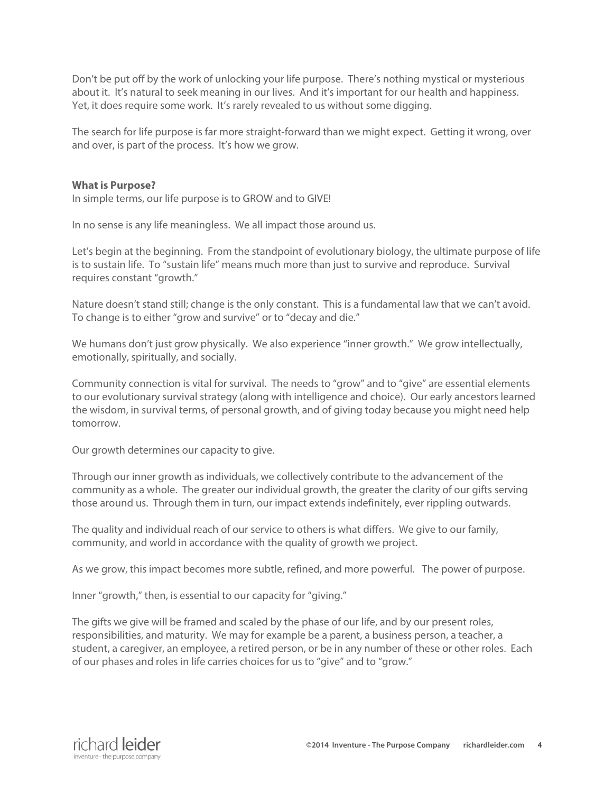Don't be put off by the work of unlocking your life purpose. There's nothing mystical or mysterious about it. It's natural to seek meaning in our lives. And it's important for our health and happiness. Yet, it does require some work. It's rarely revealed to us without some digging.

The search for life purpose is far more straight-forward than we might expect. Getting it wrong, over and over, is part of the process. It's how we grow.

#### **What is Purpose?**

In simple terms, our life purpose is to GROW and to GIVE!

In no sense is any life meaningless. We all impact those around us.

Let's begin at the beginning. From the standpoint of evolutionary biology, the ultimate purpose of life is to sustain life. To "sustain life" means much more than just to survive and reproduce. Survival requires constant "growth."

Nature doesn't stand still; change is the only constant. This is a fundamental law that we can't avoid. To change is to either "grow and survive" or to "decay and die."

We humans don't just grow physically. We also experience "inner growth." We grow intellectually, emotionally, spiritually, and socially.

Community connection is vital for survival. The needs to "grow" and to "give" are essential elements to our evolutionary survival strategy (along with intelligence and choice). Our early ancestors learned the wisdom, in survival terms, of personal growth, and of giving today because you might need help tomorrow.

Our growth determines our capacity to give.

Through our inner growth as individuals, we collectively contribute to the advancement of the community as a whole. The greater our individual growth, the greater the clarity of our gifts serving those around us. Through them in turn, our impact extends indefinitely, ever rippling outwards.

The quality and individual reach of our service to others is what differs. We give to our family, community, and world in accordance with the quality of growth we project.

As we grow, this impact becomes more subtle, refined, and more powerful. The power of purpose.

Inner "growth," then, is essential to our capacity for "giving."

The gifts we give will be framed and scaled by the phase of our life, and by our present roles, responsibilities, and maturity. We may for example be a parent, a business person, a teacher, a student, a caregiver, an employee, a retired person, or be in any number of these or other roles. Each of our phases and roles in life carries choices for us to "give" and to "grow."